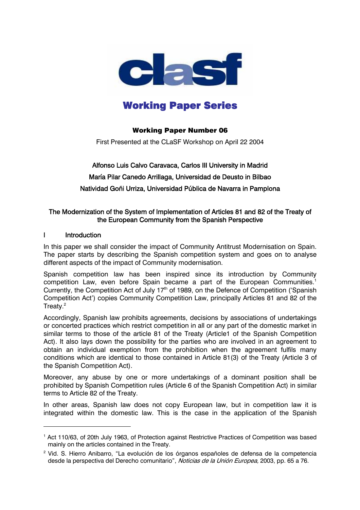

# Working Paper Series

## Working Paper Number 06

First Presented at the CLaSF Workshop on April 22 2004

## Alfonso Luis Calvo Caravaca, Carlos III University in Madrid María Pilar Canedo Arrillaga, Universidad de Deusto in Bilbao Natividad Goñi Urriza, Universidad Pública de Navarra in Pamplona

#### The Modernization of the System of Implementation of Articles 81 and 82 of the Treaty of the European Community from the Spanish Perspective

#### I Introduction

 $\overline{a}$ 

In this paper we shall consider the impact of Community Antitrust Modernisation on Spain. The paper starts by describing the Spanish competition system and goes on to analyse different aspects of the impact of Community modernisation.

Spanish competition law has been inspired since its introduction by Community competition Law, even before Spain became a part of the European Communities. 1 Currently, the Competition Act of July  $17<sup>th</sup>$  of 1989, on the Defence of Competition ('Spanish Competition Act') copies Community Competition Law, principally Articles 81 and 82 of the Treaty.<sup>2</sup>

Accordingly, Spanish law prohibits agreements, decisions by associations of undertakings or concerted practices which restrict competition in all or any part of the domestic market in similar terms to those of the article 81 of the Treaty (Article1 of the Spanish Competition Act). It also lays down the possibility for the parties who are involved in an agreement to obtain an individual exemption from the prohibition when the agreement fulfils many conditions which are identical to those contained in Article 81(3) of the Treaty (Article 3 of the Spanish Competition Act).

Moreover, any abuse by one or more undertakings of a dominant position shall be prohibited by Spanish Competition rules (Article 6 of the Spanish Competition Act) in similar terms to Article 82 of the Treaty.

In other areas, Spanish law does not copy European law, but in competition law it is integrated within the domestic law. This is the case in the application of the Spanish

<sup>&</sup>lt;sup>1</sup> Act 110/63, of 20th July 1963, of Protection against Restrictive Practices of Competition was based mainly on the articles contained in the Treaty.

<sup>&</sup>lt;sup>2</sup> Vid. S. Hierro Anibarro, "La evolución de los órganos españoles de defensa de la competencia desde la perspectiva del Derecho comunitario", Noticias de la Unión Europea, 2003, pp. 65 a 76.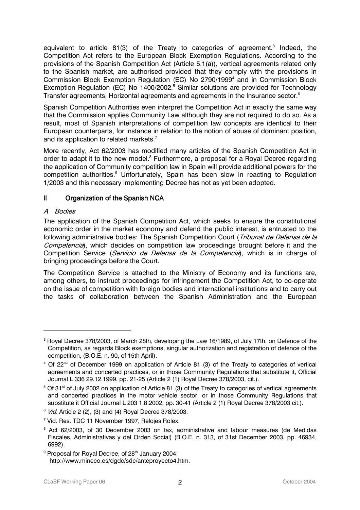equivalent to article 81(3) of the Treaty to categories of agreement.<sup>3</sup> Indeed, the Competition Act refers to the European Block Exemption Regulations. According to the provisions of the Spanish Competition Act (Article 5.1(a)), vertical agreements related only to the Spanish market, are authorised provided that they comply with the provisions in Commission Block Exemption Regulation (EC) No 2790/1999<sup>4</sup> and in Commission Block Exemption Regulation (EC) No 1400/2002.<sup>5</sup> Similar solutions are provided for Technology Transfer agreements, Horizontal agreements and agreements in the Insurance sector.<sup>6</sup>

Spanish Competition Authorities even interpret the Competition Act in exactly the same way that the Commission applies Community Law although they are not required to do so. As a result, most of Spanish interpretations of competition law concepts are identical to their European counterparts, for instance in relation to the notion of abuse of dominant position, and its application to related markets.<sup>7</sup>

More recently, Act 62/2003 has modified many articles of the Spanish Competition Act in order to adapt it to the new model.<sup>8</sup> Furthermore, a proposal for a Royal Decree regarding the application of Community competition law in Spain will provide additional powers for the competition authorities.<sup>9</sup> Unfortunately, Spain has been slow in reacting to Regulation 1/2003 and this necessary implementing Decree has not as yet been adopted.

#### II Organization of the Spanish NCA

#### A Bodies

 $\overline{a}$ 

The application of the Spanish Competition Act, which seeks to ensure the constitutional economic order in the market economy and defend the public interest, is entrusted to the following administrative bodies: The Spanish Competition Court (Tribunal de Defensa de la Competencia), which decides on competition law proceedings brought before it and the Competition Service (*Servicio de Defensa de la Competencia*), which is in charge of bringing proceedings before the Court.

The Competition Service is attached to the Ministry of Economy and its functions are, among others, to instruct proceedings for infringement the Competition Act, to co-operate on the issue of competition with foreign bodies and international institutions and to carry out the tasks of collaboration between the Spanish Administration and the European

<sup>9</sup> Proposal for Royal Decree, of 28<sup>th</sup> January 2004; http://www.mineco.es/dgdc/sdc/anteproyecto4.htm.

 $^{\rm 3}$  Royal Decree 378/2003, of March 28th, developing the Law 16/1989, of July 17th, on Defence of the Competition, as regards Block exemptions, singular authorization and registration of defence of the competition, (B.O.E. n. 90, of 15th April).

 $4$  Of 22<sup>nd</sup> of December 1999 on application of Article 81 (3) of the Treaty to categories of vertical agreements and concerted practices, or in those Community Regulations that substitute it, Official Journal L 336 29.12.1999, pp. 21-25 (Article 2 (1) Royal Decree 378/2003, cit.).

<sup>&</sup>lt;sup>5</sup> Of 31<sup>st</sup> of July 2002 on application of Article 81 (3) of the Treaty to categories of vertical agreements and concerted practices in the motor vehicle sector, or in those Community Regulations that substitute it Official Journal L 203 1.8.2002, pp. 30-41 (Article 2 (1) Royal Decree 378/2003 cit.).

<sup>&</sup>lt;sup>6</sup> *Vid.* Article 2 (2), (3) and (4) Royal Decree 378/2003.

<sup>&</sup>lt;sup>7</sup> Vid. Res. TDC 11 November 1997, Relojes Rolex.

<sup>&</sup>lt;sup>8</sup> Act 62/2003, of 30 December 2003 on tax, administrative and labour measures (de Medidas Fiscales, Administrativas y del Orden Social) (B.O.E. n. 313, of 31st December 2003, pp. 46934, 6992).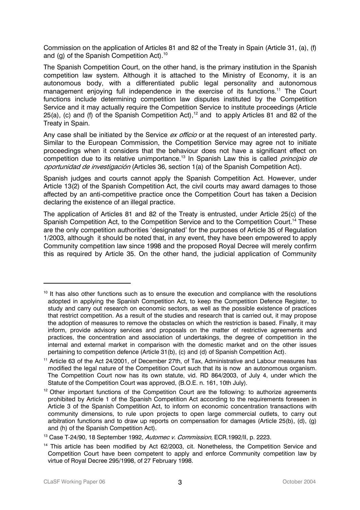Commission on the application of Articles 81 and 82 of the Treaty in Spain (Article 31, (a), (f) and (g) of the Spanish Competition Act).<sup>10</sup>

The Spanish Competition Court, on the other hand, is the primary institution in the Spanish competition law system. Although it is attached to the Ministry of Economy, it is an autonomous body, with a differentiated public legal personality and autonomous management enjoying full independence in the exercise of its functions.<sup>11</sup> The Court functions include determining competition law disputes instituted by the Competition Service and it may actually require the Competition Service to institute proceedings (Article 25(a), (c) and (f) of the Spanish Competition Act),<sup>12</sup> and to apply Articles 81 and 82 of the Treaty in Spain.

Any case shall be initiated by the Service ex officio or at the request of an interested party. Similar to the European Commission, the Competition Service may agree not to initiate proceedings when it considers that the behaviour does not have a significant effect on competition due to its relative unimportance.<sup>13</sup> In Spanish Law this is called *principio de* oportunidad de investigación (Articles 36, section 1(a) of the Spanish Competition Act).

Spanish judges and courts cannot apply the Spanish Competition Act. However, under Article 13(2) of the Spanish Competition Act, the civil courts may award damages to those affected by an anti-competitive practice once the Competition Court has taken a Decision declaring the existence of an illegal practice.

The application of Articles 81 and 82 of the Treaty is entrusted, under Article 25(c) of the Spanish Competition Act, to the Competition Service and to the Competition Court.<sup>14</sup> These are the only competition authorities 'designated' for the purposes of Article 35 of Regulation 1/2003, although it should be noted that, in any event, they have been empowered to apply Community competition law since 1998 and the proposed Royal Decree will merely confirm this as required by Article 35. On the other hand, the judicial application of Community

 $\ddot{\phantom{a}}$ 

 $10$  It has also other functions such as to ensure the execution and compliance with the resolutions adopted in applying the Spanish Competition Act, to keep the Competition Defence Register, to study and carry out research on economic sectors, as well as the possible existence of practices that restrict competition. As a result of the studies and research that is carried out, it may propose the adoption of measures to remove the obstacles on which the restriction is based. Finally, it may inform, provide advisory services and proposals on the matter of restrictive agreements and practices, the concentration and association of undertakings, the degree of competition in the internal and external market in comparison with the domestic market and on the other issues pertaining to competition defence (Article 31(b), (c) and (d) of Spanish Competition Act).

<sup>&</sup>lt;sup>11</sup> Article 63 of the Act 24/2001, of December 27th, of Tax, Administrative and Labour measures has modified the legal nature of the Competition Court such that its is now an autonomous organism. The Competition Court now has its own statute, vid. RD 864/2003, of July 4, under which the Statute of the Competition Court was approved, (B.O.E. n. 161, 10th July).

 $12$  Other important functions of the Competition Court are the following: to authorize agreements prohibited by Article 1 of the Spanish Competition Act according to the requirements foreseen in Article 3 of the Spanish Competition Act, to inform on economic concentration transactions with community dimensions, to rule upon projects to open large commercial outlets, to carry out arbitration functions and to draw up reports on compensation for damages (Article 25(b), (d), (g) and (h) of the Spanish Competition Act).

<sup>&</sup>lt;sup>13</sup> Case T-24/90, 18 September 1992, Automec v. Commission, ECR.1992/II, p. 2223.

<sup>&</sup>lt;sup>14</sup> This article has been modified by Act 62/2003, cit. Nonetheless, the Competition Service and Competition Court have been competent to apply and enforce Community competition law by virtue of Royal Decree 295/1998, of 27 February 1998.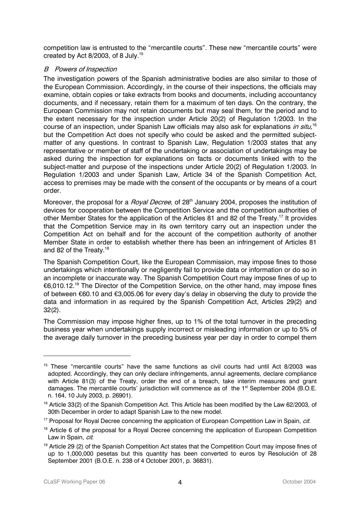competition law is entrusted to the "mercantile courts". These new "mercantile courts" were created by Act 8/2003, of 8 July.<sup>15</sup>

#### B Powers of Inspection

The investigation powers of the Spanish administrative bodies are also similar to those of the European Commission. Accordingly, in the course of their inspections, the officials may examine, obtain copies or take extracts from books and documents, including accountancy documents, and if necessary, retain them for a maximum of ten days. On the contrary, the European Commission may not retain documents but may seal them, for the period and to the extent necessary for the inspection under Article 20(2) of Regulation 1/2003. In the course of an inspection, under Spanish Law officials may also ask for explanations in situ,<sup>16</sup> but the Competition Act does not specify who could be asked and the permitted subjectmatter of any questions. In contrast to Spanish Law, Regulation 1/2003 states that any representative or member of staff of the undertaking or association of undertakings may be asked during the inspection for explanations on facts or documents linked with to the subject-matter and purpose of the inspections under Article 20(2) of Regulation 1/2003. In Regulation 1/2003 and under Spanish Law, Article 34 of the Spanish Competition Act, access to premises may be made with the consent of the occupants or by means of a court order.

Moreover, the proposal for a *Royal Decree*, of 28<sup>th</sup> January 2004, proposes the institution of devices for cooperation between the Competition Service and the competition authorities of other Member States for the application of the Articles 81 and 82 of the Treaty.<sup>17</sup> It provides that the Competition Service may in its own territory carry out an inspection under the Competition Act on behalf and for the account of the competition authority of another Member State in order to establish whether there has been an infringement of Articles 81 and 82 of the Treaty.<sup>18</sup>

The Spanish Competition Court, like the European Commission, may impose fines to those undertakings which intentionally or negligently fail to provide data or information or do so in an incomplete or inaccurate way. The Spanish Competition Court may impose fines of up to €6,010.12.19 The Director of the Competition Service, on the other hand, may impose fines of between €60.10 and €3,005.06 for every day's delay in observing the duty to provide the data and information in as required by the Spanish Competition Act, Articles 29(2) and 32(2).

The Commission may impose higher fines, up to 1% of the total turnover in the preceding business year when undertakings supply incorrect or misleading information or up to 5% of the average daily turnover in the preceding business year per day in order to compel them

 $15$  These "mercantile courts" have the same functions as civil courts had until Act 8/2003 was adopted. Accordingly, they can only declare infringements, annul agreements, declare compliance with Article 81(3) of the Treaty, order the end of a breach, take interim measures and grant damages. The mercantile courts' jurisdiction will commence as of the 1<sup>st</sup> September 2004 (B.O.E. n. 164, 10 July 2003, p. 26901).

<sup>&</sup>lt;sup>16</sup> Article 33(2) of the Spanish Competition Act. This Article has been modified by the Law 62/2003, of 30th December in order to adapt Spanish Law to the new model.

<sup>&</sup>lt;sup>17</sup> Proposal for Royal Decree concerning the application of European Competition Law in Spain, *cit.* 

<sup>&</sup>lt;sup>18</sup> Article 6 of the proposal for a Royal Decree concerning the application of European Competition Law in Spain, cit.

<sup>&</sup>lt;sup>19</sup> Article 29 (2) of the Spanish Competition Act states that the Competition Court may impose fines of up to 1,000,000 pesetas but this quantity has been converted to euros by Resolución of 28 September 2001 (B.O.E. n. 238 of 4 October 2001, p. 36831).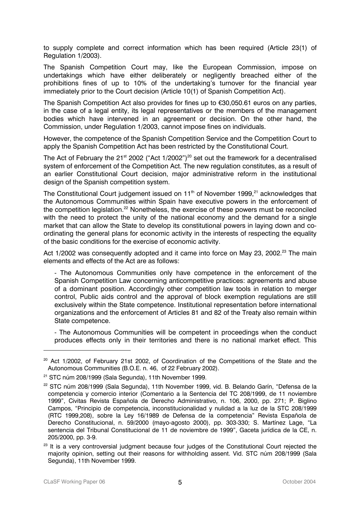to supply complete and correct information which has been required (Article 23(1) of Regulation 1/2003).

The Spanish Competition Court may, like the European Commission, impose on undertakings which have either deliberately or negligently breached either of the prohibitions fines of up to 10% of the undertaking's turnover for the financial year immediately prior to the Court decision (Article 10(1) of Spanish Competition Act).

The Spanish Competition Act also provides for fines up to €30,050.61 euros on any parties, in the case of a legal entity, its legal representatives or the members of the management bodies which have intervened in an agreement or decision. On the other hand, the Commission, under Regulation 1/2003, cannot impose fines on individuals.

However, the competence of the Spanish Competition Service and the Competition Court to apply the Spanish Competition Act has been restricted by the Constitutional Court.

The Act of February the 21<sup>st</sup> 2002 ("Act 1/2002")<sup>20</sup> set out the framework for a decentralised system of enforcement of the Competition Act. The new regulation constitutes, as a result of an earlier Constitutional Court decision, major administrative reform in the institutional design of the Spanish competition system.

The Constitutional Court judgement issued on  $11<sup>th</sup>$  of November 1999,<sup>21</sup> acknowledges that the Autonomous Communities within Spain have executive powers in the enforcement of the competition legislation.<sup>22</sup> Nonetheless, the exercise of these powers must be reconciled with the need to protect the unity of the national economy and the demand for a single market that can allow the State to develop its constitutional powers in laying down and coordinating the general plans for economic activity in the interests of respecting the equality of the basic conditions for the exercise of economic activity.

Act 1/2002 was consequently adopted and it came into force on May 23, 2002.<sup>23</sup> The main elements and effects of the Act are as follows:

- The Autonomous Communities only have competence in the enforcement of the Spanish Competition Law concerning anticompetitive practices: agreements and abuse of a dominant position. Accordingly other competition law tools in relation to merger control, Public aids control and the approval of block exemption regulations are still exclusively within the State competence. Institutional representation before international organizations and the enforcement of Articles 81 and 82 of the Treaty also remain within State competence.

- The Autonomous Communities will be competent in proceedings when the conduct produces effects only in their territories and there is no national market effect. This

<sup>&</sup>lt;sup>20</sup> Act 1/2002, of February 21st 2002, of Coordination of the Competitions of the State and the Autonomous Communities (B.O.E. n. 46, of 22 February 2002).

<sup>&</sup>lt;sup>21</sup> STC núm 208/1999 (Sala Segunda), 11th November 1999.

<sup>&</sup>lt;sup>22</sup> STC núm 208/1999 (Sala Segunda), 11th November 1999, vid. B. Belando Garín, "Defensa de la competencia y comercio interior (Comentario a la Sentencia del TC 208/1999, de 11 noviembre 1999", Civitas Revista Española de Derecho Administrativo, n. 106, 2000, pp. 271; P. Biglino Campos, "Principio de competencia, inconstitucionalidad y nulidad a la luz de la STC 208/1999 (RTC 1999,208), sobre la Ley 16/1989 de Defensa de la competencia" Revista Española de Derecho Constitucional, n. 59/2000 (mayo-agosto 2000), pp. 303-330; S. Martínez Lage, "La sentencia del Tribunal Constitucional de 11 de noviembre de 1999", Gaceta jurídica de la CE, n. 205/2000, pp. 3-9.

<sup>&</sup>lt;sup>23</sup> It is a very controversial judgment because four judges of the Constitutional Court rejected the majority opinion, setting out their reasons for withholding assent. Vid. STC núm 208/1999 (Sala Segunda), 11th November 1999.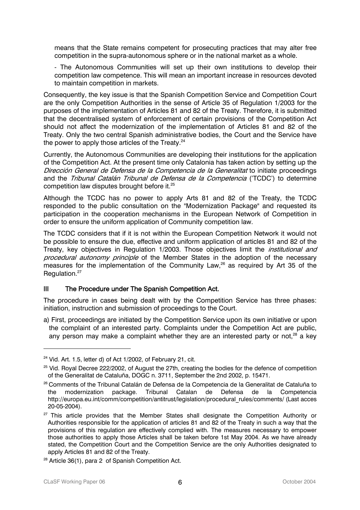means that the State remains competent for prosecuting practices that may alter free competition in the supra-autonomous sphere or in the national market as a whole.

- The Autonomous Communities will set up their own institutions to develop their competition law competence. This will mean an important increase in resources devoted to maintain competition in markets.

Consequently, the key issue is that the Spanish Competition Service and Competition Court are the only Competition Authorities in the sense of Article 35 of Regulation 1/2003 for the purposes of the implementation of Articles 81 and 82 of the Treaty. Therefore, it is submitted that the decentralised system of enforcement of certain provisions of the Competition Act should not affect the modernization of the implementation of Articles 81 and 82 of the Treaty. Only the two central Spanish administrative bodies, the Court and the Service have the power to apply those articles of the Treaty. $24$ 

Currently, the Autonomous Communities are developing their institutions for the application of the Competition Act. At the present time only Catalonia has taken action by setting up the Dirección General de Defensa de la Competencia de la Generalitat to initiate proceedings and the Tribunal Catalán Tribunal de Defensa de la Competencia ('TCDC') to determine competition law disputes brought before it. 25

Although the TCDC has no power to apply Arts 81 and 82 of the Treaty, the TCDC responded to the public consultation on the "Modernization Package" and requested its participation in the cooperation mechanisms in the European Network of Competition in order to ensure the uniform application of Community competition law.

The TCDC considers that if it is not within the European Competition Network it would not be possible to ensure the due, effective and uniform application of articles 81 and 82 of the Treaty, key objectives in Regulation 1/2003. Those objectives limit the *institutional and* procedural autonomy principle of the Member States in the adoption of the necessary measures for the implementation of the Community Law,<sup>26</sup> as required by Art 35 of the Regulation.<sup>27</sup>

#### III The Procedure under The Spanish Competition Act.

The procedure in cases being dealt with by the Competition Service has three phases: initiation, instruction and submission of proceedings to the Court.

a) First, proceedings are initiated by the Competition Service upon its own initiative or upon the complaint of an interested party. Complaints under the Competition Act are public, any person may make a complaint whether they are an interested party or not, $28$  a key

 $24$  Vid. Art. 1.5, letter d) of Act 1/2002, of February 21, cit.

<sup>&</sup>lt;sup>25</sup> Vid. Royal Decree 222/2002, of August the 27th, creating the bodies for the defence of competition of the Generalitat de Cataluña, DOGC n. 3711, September the 2nd 2002, p. 15471.

<sup>&</sup>lt;sup>26</sup> Comments of the Tribunal Catalán de Defensa de la Competencia de la Generalitat de Cataluña to the modernization package. Tribunal Catalan de Defensa de la Competencia http://europa.eu.int/comm/competition/antitrust/legislation/procedural\_rules/comments/ (Last acces 20-05-2004).

<sup>&</sup>lt;sup>27</sup> This article provides that the Member States shall designate the Competition Authority or Authorities responsible for the application of articles 81 and 82 of the Treaty in such a way that the provisions of this regulation are effectively complied with. The measures necessary to empower those authorities to apply those Articles shall be taken before 1st May 2004. As we have already stated, the Competition Court and the Competition Service are the only Authorities designated to apply Articles 81 and 82 of the Treaty.

<sup>&</sup>lt;sup>28</sup> Article 36(1), para 2 of Spanish Competition Act.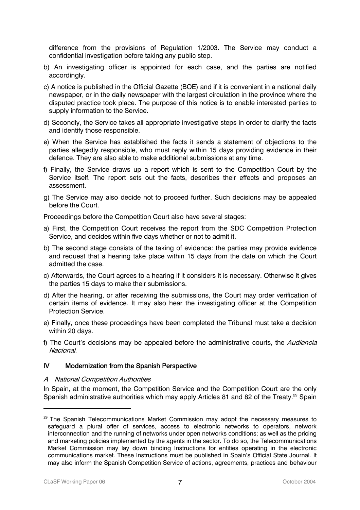difference from the provisions of Regulation 1/2003. The Service may conduct a confidential investigation before taking any public step.

- b) An investigating officer is appointed for each case, and the parties are notified accordingly.
- c) A notice is published in the Official Gazette (BOE) and if it is convenient in a national daily newspaper, or in the daily newspaper with the largest circulation in the province where the disputed practice took place. The purpose of this notice is to enable interested parties to supply information to the Service.
- d) Secondly, the Service takes all appropriate investigative steps in order to clarify the facts and identify those responsible.
- e) When the Service has established the facts it sends a statement of objections to the parties allegedly responsible, who must reply within 15 days providing evidence in their defence. They are also able to make additional submissions at any time.
- f) Finally, the Service draws up a report which is sent to the Competition Court by the Service itself. The report sets out the facts, describes their effects and proposes an assessment.
- g) The Service may also decide not to proceed further. Such decisions may be appealed before the Court.

Proceedings before the Competition Court also have several stages:

- a) First, the Competition Court receives the report from the SDC Competition Protection Service, and decides within five days whether or not to admit it.
- b) The second stage consists of the taking of evidence: the parties may provide evidence and request that a hearing take place within 15 days from the date on which the Court admitted the case.
- c) Afterwards, the Court agrees to a hearing if it considers it is necessary. Otherwise it gives the parties 15 days to make their submissions.
- d) After the hearing, or after receiving the submissions, the Court may order verification of certain items of evidence. It may also hear the investigating officer at the Competition Protection Service.
- e) Finally, once these proceedings have been completed the Tribunal must take a decision within 20 days.
- f) The Court's decisions may be appealed before the administrative courts, the *Audiencia* Nacional.

#### IV Modernization from the Spanish Perspective

#### A National Competition Authorities

In Spain, at the moment, the Competition Service and the Competition Court are the only Spanish administrative authorities which may apply Articles 81 and 82 of the Treaty.<sup>29</sup> Spain

<sup>&</sup>lt;sup>29</sup> The Spanish Telecommunications Market Commission may adopt the necessary measures to safeguard a plural offer of services, access to electronic networks to operators, network interconnection and the running of networks under open networks conditions; as well as the pricing and marketing policies implemented by the agents in the sector. To do so, the Telecommunications Market Commission may lay down binding Instructions for entities operating in the electronic communications market. These Instructions must be published in Spain's Official State Journal. It may also inform the Spanish Competition Service of actions, agreements, practices and behaviour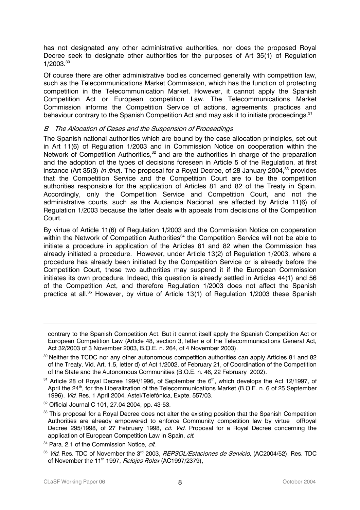has not designated any other administrative authorities, nor does the proposed Royal Decree seek to designate other authorities for the purposes of Art 35(1) of Regulation  $1/2003.^{30}$ 

Of course there are other administrative bodies concerned generally with competition law, such as the Telecommunications Market Commission, which has the function of protecting competition in the Telecommunication Market. However, it cannot apply the Spanish Competition Act or European competition Law. The Telecommunications Market Commission informs the Competition Service of actions, agreements, practices and behaviour contrary to the Spanish Competition Act and may ask it to initiate proceedings.<sup>31</sup>

#### B The Allocation of Cases and the Suspension of Proceedings

The Spanish national authorities which are bound by the case allocation principles, set out in Art 11(6) of Regulation 1/2003 and in Commission Notice on cooperation within the Network of Competition Authorities,<sup>32</sup> and are the authorities in charge of the preparation and the adoption of the types of decisions foreseen in Article 5 of the Regulation, at first instance (Art 35(3) *in fine*). The proposal for a Royal Decree, of 28 January 2004.<sup>33</sup> provides that the Competition Service and the Competition Court are to be the competition authorities responsible for the application of Articles 81 and 82 of the Treaty in Spain. Accordingly, only the Competition Service and Competition Court, and not the administrative courts, such as the Audiencia Nacional, are affected by Article 11(6) of Regulation 1/2003 because the latter deals with appeals from decisions of the Competition Court.

By virtue of Article 11(6) of Regulation 1/2003 and the Commission Notice on cooperation within the Network of Competition Authorities<sup>34</sup> the Competition Service will not be able to initiate a procedure in application of the Articles 81 and 82 when the Commission has already initiated a procedure. However, under Article 13(2) of Regulation 1/2003, where a procedure has already been initiated by the Competition Service or is already before the Competition Court, these two authorities may suspend it if the European Commission initiates its own procedure. Indeed, this question is already settled in Articles 44(1) and 56 of the Competition Act, and therefore Regulation 1/2003 does not affect the Spanish practice at all.<sup>35</sup> However, by virtue of Article 13(1) of Regulation 1/2003 these Spanish

contrary to the Spanish Competition Act. But it cannot itself apply the Spanish Competition Act or European Competition Law (Article 48, section 3, letter e of the Telecommunications General Act, Act 32/2003 of 3 November 2003, B.O.E. n. 264, of 4 November 2003).

<sup>&</sup>lt;sup>30</sup> Neither the TCDC nor any other autonomous competition authorities can apply Articles 81 and 82 of the Treaty. Vid. Art. 1.5, letter d) of Act 1/2002, of February 21, of Coordination of the Competition of the State and the Autonomous Communities (B.O.E. n. 46, 22 February 2002).

 $31$  Article 28 of Royal Decree 1994/1996, of September the  $6<sup>th</sup>$ , which develops the Act 12/1997, of April the 24<sup>th</sup>, for the Liberalization of the Telecommunications Market (B.O.E. n. 6 of 25 September 1996). Vid. Res. 1 April 2004, Astel/Telefónica, Expte. 557/03.

<sup>32</sup> Official Journal C 101, 27.04.2004, pp. 43-53.

<sup>33</sup> This proposal for a Royal Decree does not alter the existing position that the Spanish Competition Authorities are already empowered to enforce Community competition law by virtue ofRoyal Decree 295/1998, of 27 February 1998, *cit. Vid.* Proposal for a Royal Decree concerning the application of European Competition Law in Spain, cit.

<sup>&</sup>lt;sup>34</sup> Para. 2.1 of the Commission Notice, cit.

<sup>&</sup>lt;sup>35</sup> Vid. Res. TDC of November the 3<sup>rd</sup> 2003, *REPSOL/Estaciones de Servicio*, (AC2004/52), Res. TDC of November the 11<sup>th</sup> 1997, *Relojes Rolex* (AC1997/2379),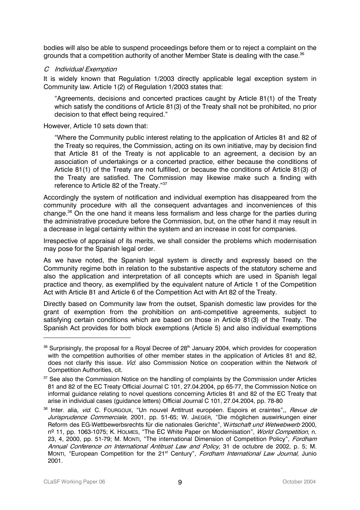bodies will also be able to suspend proceedings before them or to reject a complaint on the grounds that a competition authority of another Member State is dealing with the case. 36

#### C Individual Exemption

It is widely known that Regulation 1/2003 directly applicable legal exception system in Community law. Article 1(2) of Regulation 1/2003 states that:

"Agreements, decisions and concerted practices caught by Article 81(1) of the Treaty which satisfy the conditions of Article 81(3) of the Treaty shall not be prohibited, no prior decision to that effect being required."

However, Article 10 sets down that:

"Where the Community public interest relating to the application of Articles 81 and 82 of the Treaty so requires, the Commission, acting on its own initiative, may by decision find that Article 81 of the Treaty is not applicable to an agreement, a decision by an association of undertakings or a concerted practice, either because the conditions of Article 81(1) of the Treaty are not fulfilled, or because the conditions of Article 81(3) of the Treaty are satisfied. The Commission may likewise make such a finding with reference to Article 82 of the Treaty."37

Accordingly the system of notification and individual exemption has disappeared from the community procedure with all the consequent advantages and inconveniences of this change.<sup>38</sup> On the one hand it means less formalism and less charge for the parties during the administrative procedure before the Commission, but, on the other hand it may result in a decrease in legal certainty within the system and an increase in cost for companies.

Irrespective of appraisal of its merits, we shall consider the problems which modernisation may pose for the Spanish legal order.

As we have noted, the Spanish legal system is directly and expressly based on the Community regime both in relation to the substantive aspects of the statutory scheme and also the application and interpretation of all concepts which are used in Spanish legal practice and theory, as exemplified by the equivalent nature of Article 1 of the Competition Act with Article 81 and Article 6 of the Competition Act with Art 82 of the Treaty.

Directly based on Community law from the outset, Spanish domestic law provides for the grant of exemption from the prohibition on anti-competitive agreements, subject to satisfying certain conditions which are based on those in Article 81(3) of the Treaty. The Spanish Act provides for both block exemptions (Article 5) and also individual exemptions

<sup>&</sup>lt;sup>36</sup> Surprisingly, the proposal for a Royal Decree of 28<sup>th</sup> January 2004, which provides for cooperation with the competition authorities of other member states in the application of Articles 81 and 82, does not clarify this issue. *Vid.* also Commission Notice on cooperation within the Network of Competition Authorities, cit.

<sup>&</sup>lt;sup>37</sup> See also the Commission Notice on the handling of complaints by the Commission under Articles 81 and 82 of the EC Treaty Official Journal C 101, 27.04.2004, pp 65-77, the Commission Notice on informal guidance relating to novel questions concerning Articles 81 and 82 of the EC Treaty that arise in individual cases (guidance letters) Official Journal C 101, 27.04.2004, pp. 78-80

Reform des EG-Wettbewerbsrechts für die nationales Gerichte", W*irtschaft und Wetwebwerb* 2000, <sup>38</sup> Inter. alia, *vid.* C. FOURGOUX, "Un nouvel Antitrust européen. Espoirs et craintes",, Revue de Jurisprudence Commerciale, 2001, pp. 51-65; W. JAEGER, "Die möglichen auswirkungen einer nº 11, pp. 1063-1075; K. HOLMES, "The EC White Paper on Modernisation", World Competition, n. 23, 4, 2000, pp. 51-79; M. MONTI, "The international Dimension of Competition Policy", Fordham Annual Conference on International Antitrust Law and Policy, 31 de octubre de 2002, p. 5; M. MONTI, "European Competition for the 21<sup>st</sup> Century", Fordham International Law Journal, Junio 2001.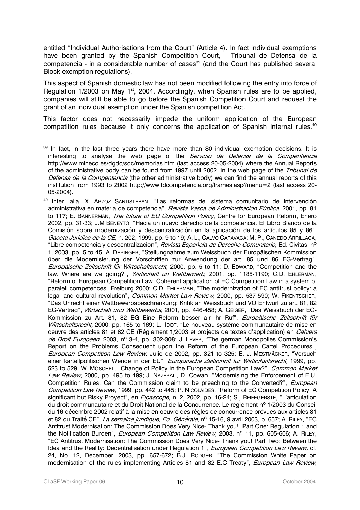entitled "Individual Authorisations from the Court" (Article 4). In fact individual exemptions have been granted by the Spanish Competition Court, - Tribunal de Defensa de la competencia - in a considerable number of cases<sup>39</sup> (and the Court has published several Block exemption regulations).

This aspect of Spanish domestic law has not been modified following the entry into force of Regulation  $1/2003$  on May  $1<sup>st</sup>$ , 2004. Accordingly, when Spanish rules are to be applied, companies will still be able to go before the Spanish Competition Court and request the grant of an individual exemption under the Spanish competition Act.

This factor does not necessarily impede the uniform application of the European competition rules because it only concerns the application of Spanish internal rules.<sup>40</sup>

<sup>39</sup> In fact, in the last three years there have more than 80 individual exemption decisions. It is interesting to analyse the web page of the Servicio de Defensa de la Compentencia http://www.mineco.es/dgdc/sdc/memorias.htm (last access 20-05-2004) where the Annual Reports of the administrative body can be found from 1997 until 2002. In the web page of the Tribunal de Defensa de la Compentencia (the other administrative body) we can find the annual reports of this institution from 1993 to 2002 http://www.tdcompetencia.org/frames.asp?menu=2 (last access 20- 05-2004).

Europäische Zeitschrift für Wirtschaftsrecht, 2000, pp. 5 to 11; D. EDWARD, "Competition and the 40 Inter. alia, X. ARZOZ SANTISTEBAN, "Las reformas del sistema comunitario de intervención administrativa en materia de competencia", *Revista Vasca de Administración Pública*, 2001, pp. 81 to 117; E. BANNERMAN, The future of EU Competition Policy, Centre for European Reform, Enero 2002, pp. 31-33; J.M BENEYTO, "Hacia un nuevo derecho de la competencia. El Libro Blanco de la Comisión sobre modernización y descentralización en la aplicación de los artículos 85 y 86", Gaceta Jurídica de la CE, n. 202, 1999, pp. 9 to 19; A. L., CALVO CARAVACA; M. P., CANEDO ARRILLAGA, "Libre competencia y descentralizacion", *Revista Española de Derecho Comunitario*, Ed. Civitas, nº 1, 2003, pp. 5 to 45; A. DERINGER, "Stellungnahme zum Weissbuch der Europäischen Kommission über die Modernisierung der Vorschriften zur Anwendung der art. 85 und 86 EG-Vertrag", law. Where are we going?", *Wirtschaft un Wettbewerb*, 2001, pp. 1185-1190; C.D, EHLERMAN, "Reform of European Competition Law. Coherent application of EC Competition Law in a system of paralell competences" Freiburg 2000; C.D. EHLERMAN, "The modernization of EC antitrust policy: a .<br>legal and cultural revolution", *Common Market Law Review*, 2000, pp. 537-590; W. FIKENTSCHER, "Das Unrecht einer Wettbewerbsbeschränkung: Kritik an Weissbuch und VO Entwurf zu art. 81, 82 EG-Vertrag", Wirtschaft und Wettbewerbs, 2001, pp. 446-458; A. GEIGER, "Das Weissbuch der EG-Kommission zu Art. 81, 82 EG Eine Reform besser alr ihr Ruf", Europäische Zeitschrift für Wirtschaftsrecht, 2000, pp. 165 to 169; L., IDOT, "Le nouveau système communautaire de mise en oeuvre des articles 81 et 82 CE (Réglement 1/2003 et projects de textes d'application) en Cahiers de Droit Européen, 2003, nº 3-4, pp. 302-308; J. LEVER, "The german Monopolies Commission's Report on the Problems Consequent upon the Reform of the European Cartel Procedures", European Competition Law Review, Julio de 2002, pp. 321 to 325; E. J. MESTMÄCKER, "Versuch einer kartellpolitischen Wende in der EU", Europäische Zeitschrift für Wirtschaftsrecht, 1999, pp. 523 to 529; W. MÖSCHEL, "Change of Policy in the European Competition Law?", Common Market Law Review, 2000, pp. 495 to 499; J. NAZERALI, D. Cowan, "Modernising the Enforcement of E.U. Competition Rules, Can the Commission claim to be preaching to the Converted?", European Competition Law Review, 1999, pp. 442 to 445; P. NICOLAIDES, "Reform of EC Competition Policy: A significant but Risky Proyect", en *Eipascope*, n. 2, 2002, pp. 16-24; S., REIFEGERSTE, "L'articulation du droit communautaire et du Droit National de la Concurrence. Le règlement nº 1/2003 du Conseil du 16 décembre 2002 relatif à la mise en oeuvre des régles de concurrence prévues aux articles 81 et 82 du Traité CE", La semaine juridique, Ed. Générale, nº 15-16, 9 avril 2003, p. 657; A. RILEY, "EC Antitrust Modernisation: The Commission Does Very Nice- Thank you!. Part One: Regulation 1 and the Notification Burden", *European Competition Law Review*, 2003, nº 11, pp. 605-606; A. RILEY, "EC Antitrust Modernisation: The Commission Does Very Nice- Thank you! Part Two: Between the Idea and the Reality: Decentralisation under Regulation 1", *European Competition Law Review*, ol. 24, No. 12, December, 2003, pp. 657-672; B.J. RODGER, "The Commission White Paper on modernisation of the rules implementing Articles 81 and 82 E.C Treaty", European Law Review,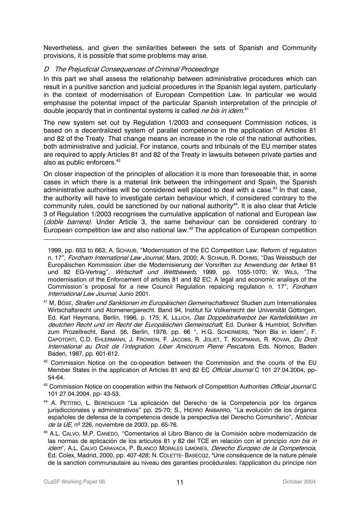Nevertheless, and given the similarities between the sets of Spanish and Community provisions, it is possible that some problems may arise.

#### D The Prejudicial Consequences of Criminal Proceedings

In this part we shall assess the relationship between administrative procedures which can result in a punitive sanction and judicial procedures in the Spanish legal system, particularly in the context of modernisation of European Competition Law. In particular we would emphasise the potential impact of the particular Spanish interpretation of the principle of double jeopardy that in continental systems is called *ne bis in idem*.<sup>41</sup>

The new system set out by Regulation 1/2003 and consequent Commission notices, is based on a decentralized system of parallel competence in the application of Articles 81 and 82 of the Treaty. That change means an increase in the role of the national authorities, both administrative and judicial. For instance, courts and tribunals of the EU member states are required to apply Articles 81 and 82 of the Treaty in lawsuits between private parties and also as public enforcers.<sup>42</sup>

On closer inspection of the principles of allocation it is more than foreseeable that, in some cases in which there is a material link between the infringement and Spain, the Spanish administrative authorities will be considered well placed to deal with a case.<sup>43</sup> In that case, the authority will have to investigate certain behaviour which, if considered contrary to the community rules, could be sanctioned by our national authority<sup>44</sup>. It is also clear that Article 3 of Regulation 1/2003 recognises the cumulative application of national and European law (doble barrera). Under Article 3, the same behaviour can be considered contrary to European competition law and also national law.<sup>45</sup> The application of European competition

<sup>41</sup> M, BösE, *Strafen und Sanktionen im Europäischen Gemeinschaftsrect*. Studien zum Internationales Wirtschaftsrecht und Atomenergierecht. Band 94, Institut für Volkerrecht der Universität Göttingen, Ed. Karl Heymans, Berlín, 1996, p. 175; K. LILLICH, Das Doppelstrafverbot bei Kartelldelikten im deutchen Recht und im Recht der Europäischen Gemeinschaft, Ed. Dunker & Humblot, Schriften zum Prozeßrecht, Band. 56, Berlín, 1978, pp. 66 ", H.G. SCHERMERS, "Non Bis in Idem", F. CAPOTORTI, C.D. EHLERMANN, J. FROWEIN, F. JACOBS, R. JOLIET, T. KOOPMANS, R. KOVAR, Du Droit International au Droit de l'integration. Liber Amicorum Pierre Pescatore, Eds. Nomos, Baden Baden, 1987, pp. 601-612.

 $42$  Commission Notice on the co-operation between the Commission and the courts of the EU Member States in the application of Articles 81 and 82 EC *Official Journal* C 101 27.04.2004, pp-54-64.

<sup>43</sup> Commission Notice on cooperation within the Network of Competition Authorities Official Journal C 101 27.04.2004, pp- 43-53.

- españoles de defensa de la competencia desde la perspectiva del Derecho Comunitario", *Noticias* 44 A. PETITBO, L. BERENGUER "La aplicación del Derecho de la Competencia por los órganos jurisdiccionales y administrativos" pp. 25-70; S., HIERRO ANIBARRO, "La evolución de los órganos de la UE, nº 226, noviembre de 2003, pp. 65-76.
- 45 A.L. CALVO, M.P. CANEDO, "Comentarios al Libro Blanco de la Comisión sobre modernización de las normas de aplicación de los artículos 81 y 82 del TCE en relación con el principio *non bis in* idem", A.L. CALVO CARAVACA, P. BLANCO MORALES LIMONES, Derecho Europeo de la Competencia, Ed. Colex, Madrid, 2000, pp. 407-428; N. COLETTE- BASECQZ, "Une conséquence de la nature pénale de la sanction communautaire au niveau des garanties procédurales: l'application du principe non

 $\ddot{\phantom{a}}$ 

und 82 EG-Vertrag", *Wirtschaft und Wettbewerb*, 1999, pp. 1055-1070; W. Wı∟s, "The Commission´s proposal for a new Council Regulation repalcing regulation n. 17", *Fordham* 1999, pp. 653 to 663; A. SCHAUB, "Modernisation of the EC Competition Law: Reform of regulation n. 17", Fordham International Law Journal, Mars, 2000; A. Schaub, R. Dohms, "Das Weissbuch der Europäischen Kommission über die Modernisierung der Vorsriften zur Anwendung der Artikel 81 modernisation of the Enforcement of articles 81 and 82 EC: A legal and economic analisys of the International Law Journal, Junio 2001.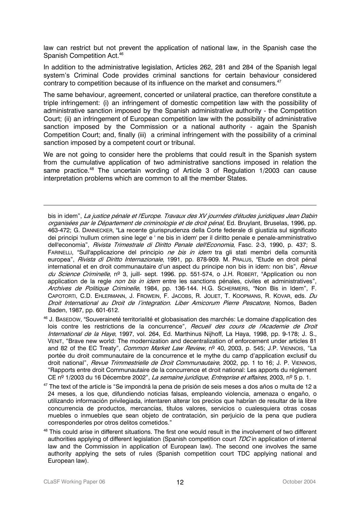law can restrict but not prevent the application of national law, in the Spanish case the Spanish Competition Act.<sup>46</sup>

In addition to the administrative legislation, Articles 262, 281 and 284 of the Spanish legal system's Criminal Code provides criminal sanctions for certain behaviour considered contrary to competition because of its influence on the market and consumers.<sup>47</sup>

The same behaviour, agreement, concerted or unilateral practice, can therefore constitute a triple infringement: (i) an infringement of domestic competition law with the possibility of administrative sanction imposed by the Spanish administrative authority - the Competition Court; (ii) an infringement of European competition law with the possibility of administrative sanction imposed by the Commission or a national authority - again the Spanish Competition Court; and, finally (iii) a criminal infringement with the possibility of a criminal sanction imposed by a competent court or tribunal.

We are not going to consider here the problems that could result in the Spanish system from the cumulative application of two administrative sanctions imposed in relation the same practice.<sup>48</sup> The uncertain wording of Article 3 of Regulation 1/2003 can cause interpretation problems which are common to all the member States.

bis in idem", La justice pénale et l'Europe. Travaux des XV journées d'études juridiques Jean Dabin organisées par le Département de criminologie et de droit pénal. Ed. Bruylant, Bruselas, 1996, pp. 463-472; G. DANNECKER, "La recente giurisprudenza della Corte federale di giustizia sul significato dei principi 'nullum crimen sine lege' e ' ne bis in idem' per il diritto penale e penale-amministrativo dell'economia", Rivista Trimestrale di Diritto Penale dell'Economia, Fasc. 2-3, 1990, p. 437; S. FARINELLI, "Sull'applicazione del principio *ne bis in idem* tra gli stati membri della comunità europea", Rivista di Diritto Internazionale, 1991, pp. 878-909. M. PRALUS, "Etude en droit pénal international et en droit communautaire d'un aspect du principe non bis in idem: non bis", Revue du Science Criminelle, nº 3, juill- sept. 1996. pp. 551-574, o J.H. ROBERT, "Application ou non application de la regle non bis in idem entre les sanctions pénales, civiles et administratives", Archives de Politique Criminelle, 1984, pp. 136-144. H.G. SCHERMERS, "Non Bis in Idem", F. CAPOTORTI, C.D. EHLERMANN, J. FROWEIN, F. JACOBS, R. JOLIET, T. KOOPMANS, R. KOVAR, eds. Du Droit International au Droit de l'integration. Liber Amicorum Pierre Pescatore, Nomos, Baden Baden, 1987, pp. 601-612.

46 J. BASEDOW, "Souveraineté territorialité et globasisation des marchés: Le domaine d'application des lois contre les restrictions de la concurrence", Recueil des cours de l'Academie de Droit International de la Haye, 1997, vol. 264, Ed. Marthinus Nijhoff, La Haya, 1998, pp. 9-178; J. S., VENIT, "Brave new world: The modernization and decentralization of enforcement under articles 81 and 82 of the EC Treaty", *Common Market Law Review*, nº 40, 2003, p. 545; J.P. VIENNOIS, "La portée du droit communautaire de la concurrence et le mythe du camp d'application exclusif du droit national", *Revue Trimmestrielle de Droit Communautaire*, 2002, pp. 1 to 16; J. P. VIENNOIS, "Rapports entre droit Communautaire de la concurrence et droit national: Les apports du réglement CE nº 1/2003 du 16 Décembre 2002", La semaine juridique, Entreprise et affaires, 2003, nº 5 p. 1.

<sup>47</sup> The text of the article is "Se impondrá la pena de prisión de seis meses a dos años o multa de 12 a 24 meses, a los que, difundiendo noticias falsas, empleando violencia, amenaza o engaño, o utilizando información privilegiada, intentaren alterar los precios que habrían de resultar de la libre concurrencia de productos, mercancías, títulos valores, servicios o cualesquiera otras cosas muebles o inmuebles que sean objeto de contratación, sin perjuicio de la pena que pudiera corresponderles por otros delitos cometidos."

 $\ddot{\phantom{a}}$ 

<sup>&</sup>lt;sup>48</sup> This could arise in different situations. The first one would result in the involvement of two different authorities applying of different legislation (Spanish competition court TDC in application of internal law and the Commission in application of European law). The second one involves the same authority applying the sets of rules (Spanish competition court TDC applying national and European law).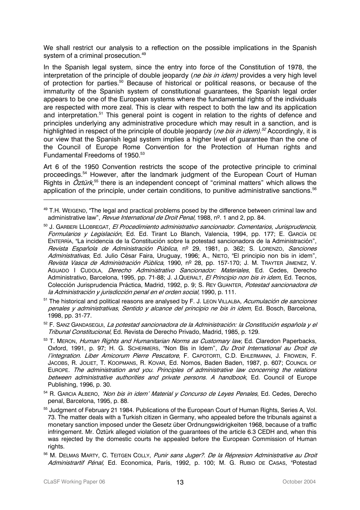We shall restrict our analysis to a reflection on the possible implications in the Spanish system of a criminal prosecution.<sup>49</sup>

In the Spanish legal system, since the entry into force of the Constitution of 1978, the interpretation of the principle of double jeopardy (ne bis in idem) provides a very high level of protection for parties.<sup>50</sup> Because of historical or political reasons, or because of the immaturity of the Spanish system of constitutional guarantees, the Spanish legal order appears to be one of the European systems where the fundamental rights of the individuals are respected with more zeal. This is clear with respect to both the law and its application and interpretation.<sup>51</sup> This general point is cogent in relation to the rights of defence and principles underlying any administrative procedure which may result in a sanction, and is highlighted in respect of the principle of double jeopardy (*ne bis in idem).<sup>52</sup>* Accordingly, it is our view that the Spanish legal system implies a higher level of guarantee than the one of the Council of Europe Rome Convention for the Protection of Human rights and Fundamental Freedoms of 1950. 53

Art 6 of the 1950 Convention restricts the scope of the protective principle to criminal proceedings. 54 However, after the landmark judgment of the European Court of Human Rights in  $\ddot{Q}$ ztürk,<sup>55</sup> there is an independent concept of "criminal matters" which allows the application of the principle, under certain conditions, to punitive administrative sanctions.<sup>56</sup>

<sup>51</sup> The historical and political reasons are analysed by F. J. LEON VILLALBA, Acumulación de sanciones penales y administrativas, Sentido y alcance del principio ne bis in idem, Ed. Bosch, Barcelona, 1998, pp. 31-77.

52 F. Sanz Ganpasegui, *La potestad sancionadora de la Administración: la Constitución española y el* Tribunal Constitucional, Ed. Revista de Derecho Privado, Madrid, 1985, p. 129.

Oxford, 1991, p. 97; H. G. SCHERMERS, "Non Bis in Idem", *Du Droit International au Droit de* l'integration. Liber Amicorum Pierre Pescatore, F. Capotorti, C.D. EHLERMANN, J. FROWEIN, F. Europe. The administration and you. Principles of administrative law concerning the relations <sup>53</sup> T. MERON, Human Rights and Humanitarian Norms as Customary law, Ed. Claredon Paperbacks, JACOBS, R. JOLIET, T. KOOPMANS, R. KOVAR, Ed. Nomos, Baden Baden, 1987, p. 607; COUNCIL OF between administrative authorities and private persons. A handbook, Ed. Council of Europe Publishing, 1996, p. 30.

<sup>54</sup> R. GARCIA ALBERO, 'Non bis in idem' Material y Concurso de Leyes Penales, Ed. Cedes, Derecho penal, Barcelona, 1995, p. 88.

55 Judgment of February 21 1984. Publications of the European Court of Human Rights, Series A, Vol. 73. The matter deals with a Turkish citizen in Germany, who appealed before the tribunals against a monetary sanction imposed under the Gesetz über Ordnungswidrigkeiten 1968, because of a traffic infringement. Mr. Öztürk alleged violation of the guarantees of the article 6.3 CEDH and, when this was rejected by the domestic courts he appealed before the European Commission of Human rights.

 $\ddot{ }$ 

<sup>&</sup>lt;sup>49</sup> T.H. WEIGEND, "The legal and practical problems posed by the difference between criminal law and administrative law", Revue International de Droit Penal, 1988, nº. 1 and 2, pp. 84.

la Administración y jurisdicción penal en el orden social, 1990, p. 111. 50 J. GARBERI LLOBREGAT, El Procedimiento administrativo sancionador. Comentarios, Jurisprudencia, Formularios y Legislación, Ed. Ed. Tirant Lo Blanch, Valencia, 1994, pp. 177; E. GARCÍA DE ENTERRÍA, "La incidencia de la Constitución sobre la potestad sancionadora de la Administración", Revista Española de Administración Pública, nº 29, 1981, p. 362; S. LORENZO, Sanciones Administrativas, Ed. Julio César Faira, Uruguay, 1996; A., NIETO, "El principio non bis in idem", Revista Vasca de Administración Pública, 1990, nº 28, pp. 157-170; J. M. TRAYTER JIMENEZ, V. AGUADO I CUDOLA, *Derecho Administrativo Sancionador: Materiales*, Ed. Cedes, Derecho Administrativo, Barcelona, 1995, pp. 71-88; J. J.QUERALT, El Principio non bis in idem, Ed. Tecnos, Colección Jurisprudencia Práctica, Madrid, 1992, p. 9; S. REY GUANTER, Potestad sancionadora de

<sup>56</sup> M. DELMAS MARTY, C. TEITGEN COLLY, Punir sans Juger?. De la Répresion Administrative au Droit Administrartif Pénal, Ed. Economica, París, 1992, p. 100; M. G. RUBIO DE CASAS, "Potestad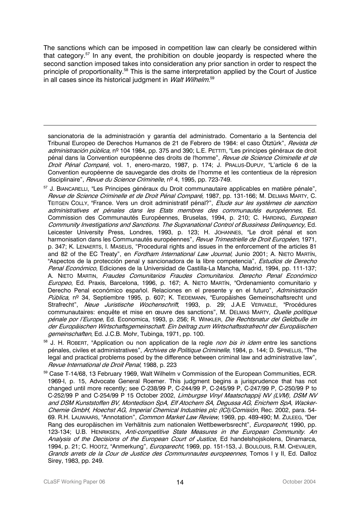The sanctions which can be imposed in competition law can clearly be considered within that category.<sup>57</sup> In any event, the prohibition on double jeopardy is respected where the second sanction imposed takes into consideration any prior sanction in order to respect the principle of proportionality.<sup>58</sup> This is the same interpretation applied by the Court of Justice in all cases since its historical judgment in *Walt Wilhelm*.<sup>59</sup>

sancionatoria de la administración y garantía del administrado. Comentario a la Sentencia del Tribunal Europeo de Derechos Humanos de 21 de Febrero de 1984: el caso Ötztürk", *Revista de* administración pública, nº 104 1984, pp. 375 and 390; L.E. PETTITI, "Les principes généraux de droit pénal dans la Convention européenne des droits de l'homme", *Revue de Science Criminelle et de* Droit Pénal Comparé, vol. 1, enero-marzo, 1987, p. 174; J. PRALUS-DUPUY, "L'article 6 de la Convention européenne de sauvegarde des droits de l'homme et les contentieux de la répresion disciplinaire", *Revue du Science Criminelle*, nº 4, 1995, pp. 723-749.

A. Nieto Martin, *Fraudes Comunitarios Fraudes Comunitarios. Derecho Penal Económico* <sup>57</sup> J. BIANCARELLI, "Les Principes généraux du Droit communautaire applicables en matière pénale", Revue de Science Criminelle et de Droit Pénal Comparé, 1987, pp. 131-166; M. DELMAS MARTY, C. TEITGEN COLLY, "France. Vers un droit administratif pénal?", *Etude sur les systèmes de sanction* administratives et pénales dans les Etats membres des communautés européennes, Ed. Commission des Communautés Européennes, Bruselas, 1994, p. 210; C. HARDING, European Community Investigations and Sanctions. The Supranational Control of Bussiness Delinquency, Ed. Leicester University Press, Londres, 1993, p. 123; H. JOHANNES, "Le droit pénal et son harmonisation dans les Communautés européennes", *Revue Trimestrielle de Droit Européen*, 1971, p. 347; K. LENAERTS, I. MASELIS, "Procedural rights and issues in the enforcement of the articles 81 and 82 of the EC Treaty", en *Fordham International Law Journal*, Junio 2001; A. NIETO MARTÍN, "Aspectos de la protección penal y sancionadora de la libre competencia", Estudios de Derecho Penal Económico, Ediciones de la Universidad de Castilla-La Mancha, Madrid, 1994, pp. 111-137; Europeo, Ed. Praxis, Barcelona, 1996, p. 167; A. NIETO MARTÍN, "Ordenamiento comunitario y Derecho Penal económico español. Relaciones en el presente y en el futuro", Administración Pública, nº 34, Septiembre 1995, p. 607; K. TIEDEMANN, "Europäishes Gemeinschaftsrecht und Strafrecht", Neue Juristische Wochenschrift, 1993, p. 29; J.A.E VERVAELE, "Procédures communautaires: enquête et mise en œuvre des sanctions", M. DELMAS MARTY, Quelle politique pénale por l'Europe, Ed. Economica, 1993, p. 256; R. WINKLER, Die Rechtsnatur del Geldbuße im der Europäischen Wirtschaftsgemeinschaft. Ein beitrag zum Wirtschaftsstrafrecht der Europäischen gemeinschaften, Ed. J.C.B. Mohr, Tubinga, 1971, pp. 100.

<sup>58</sup> J. H. ROBERT, "Application ou non application de la regle *non bis in idem* entre les sanctions pénales, civiles et administratives", Archives de Politique Criminelle, 1984, p. 144; D. SPINELLIS, "The legal and practical problems posed by the difference between criminal law and administrative law", Revue International de Droit Penal, 1988, p. 223

Chemie GmbH, Hoechst AG, Imperial Chemical Industries plc (ICI)/Comisión, Rec. 2002, para. 54-<sup>59</sup> Case T-14/68, 13 February 1969, Walt Wilhelm v Commission of the European Communities, ECR. 1969-I, p. 15, Advocate General Roemer. This judgment begins a jurisprudence that has not changed until more recently; see C-238/99 P, C-244/99 P, C-245/99 P, C-247/99 P, C-250/99 P to C-252/99 P and C-254/99 P 15 October 2002, Limburgse Vinyl Maatschappij NV (LVM), DSM NV and DSM Kunststoffen BV, Montedison SpA, Elf Atochem SA, Degussa AG, Enichem SpA, Wacker-69. R.H. LAUWAARS, "Annotation", Common Market Law Review, 1969, pp. 489-490; M. ZULEEG, "Der Rang des europäischen im Verhältnis zum nationalen Wettbewerbsrecht", Europarecht, 1990, pp. 123-134; U.B. HENRIKSEN, Anti-competitive State Measures in the European Community. An Analysis of the Decisions of the European Court of Justice, Ed handelshojskolens, Dinamarca, 1994, p. 21; C. Hootz, "Anmerkung", Europarecht, 1969, pp. 151-153, J. BouLouis, R.M. CHEVALIER, Grands arrets de la Cour de Justice des Communnautes europeennes, Tomos I y II, Ed. Dalloz Sirey, 1983, pp. 249.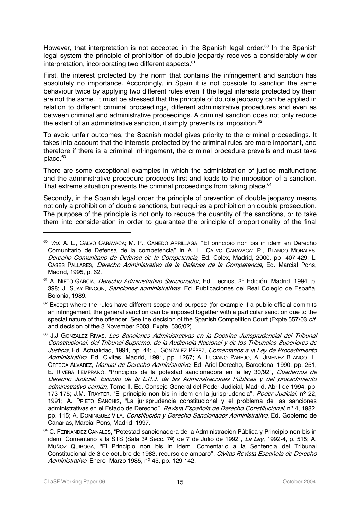However, that interpretation is not accepted in the Spanish legal order.<sup>60</sup> In the Spanish legal system the principle of prohibition of double jeopardy receives a considerably wider interpretation, incorporating two different aspects.<sup>61</sup>

First, the interest protected by the norm that contains the infringement and sanction has absolutely no importance. Accordingly, in Spain it is not possible to sanction the same behaviour twice by applying two different rules even if the legal interests protected by them are not the same. It must be stressed that the principle of double jeopardy can be applied in relation to different criminal proceedings, different administrative procedures and even as between criminal and administrative proceedings. A criminal sanction does not only reduce the extent of an administrative sanction, it simply prevents its imposition.<sup>62</sup>

To avoid unfair outcomes, the Spanish model gives priority to the criminal proceedings. It takes into account that the interests protected by the criminal rules are more important, and therefore if there is a criminal infringement, the criminal procedure prevails and must take place.<sup>63</sup>

There are some exceptional examples in which the administration of justice malfunctions and the administrative procedure proceeds first and leads to the imposition of a sanction. That extreme situation prevents the criminal proceedings from taking place.<sup>64</sup>

Secondly, in the Spanish legal order the principle of prevention of double jeopardy means not only a prohibition of double sanctions, but requires a prohibition on double prosecution. The purpose of the principle is not only to reduce the quantity of the sanctions, or to take them into consideration in order to guarantee the principle of proportionality of the final

 $\ddot{ }$ 

Cases PaLLares, *Derecho Administrativo de la Defensa de la Competencia*, Ed. Marcial Pons, <sup>60</sup> Vid. A. L., CALVO CARAVACA; M. P., CANEDO ARRILLAGA, "El principio non bis in idem en Derecho Comunitario de Defensa de la competencia" in A. L., CALVO CARAVACA; P., BLANCO MORALES, Derecho Comunitario de Defensa de la Competencia, Ed. Colex, Madrid, 2000, pp. 407-429; L. Madrid, 1995, p. 62.

<sup>&</sup>lt;sup>61</sup> A. NIETO GARCIA, *Derecho Administrativo Sancionador*, Ed. Tecnos, 2º Edición, Madrid, 1994, p. 398; J. Suay Rincon, *Sanciones administrativas*, Ed. Publicaciones del Real Colegio de España, Bolonia, 1989.

 $62$  Except where the rules have different scope and purpose (for example if a public official commits an infringement, the general sanction can be imposed together with a particular sanction due to the special nature of the offender. See the decision of the Spanish Competition Court (Expte 557/03 cit. and decision of the 3 November 2003, Expte. 536/02)

<sup>63</sup> J.J GONZALEZ RIVAS, Las Sanciones Administrativas en la Doctrina Jurisprudencial del Tribunal Constitucional, del Tribunal Supremo, de la Audiencia Nacional y de los Tribunales Superiores de Justicia, Ed. Actualidad, 1994, pp. 44; J. GONZALEZ PÉREZ, Comentarios a la Ley de Procedimiento Administrativo, Ed. Civitas, Madrid, 1991, pp. 1267; A. LUCIANO PAREJO, A. JIMENEZ BLANCO, L. ORTEGA ALVAREZ, Manual de Derecho Administrativo, Ed. Ariel Derecho, Barcelona, 1990, pp. 251, E. RIVERA TEMPRANO, "Principios de la potestad sancionadora en la ley 30/92", Cuadernos de Derecho Judicial. Estudio de la L.R.J. de las Administraciones Públicas y del procedimiento administrativo común, Tomo II, Ed. Consejo General del Poder Judicial, Madrid, Abril de 1994, pp. 173-175; J.M. TRAYTER, "El principio non bis in idem en la jurisprudencia", Poder Judicial, nº 22, 1991; A. PRIETO SANCHIS, "La jurisprudencia constitucional y el problema de las sanciones administrativas en el Estado de Derecho", *Revista Española de Derecho Constitucional*, nº 4, 1982, pp. 115; A. DOMINGUEZ VILA, Constitución y Derecho Sancionador Administrativo, Ed. Gobierno de Canarias, Marcial Pons, Madrid, 1997.

<sup>&</sup>lt;sup>64</sup> C. FERNANDEZ CANALES, "Potestad sancionadora de la Administración Pública y Principio non bis in idem. Comentario a la STS (Sala 3ª Secc. 7ª) de 7 de Julio de 1992", La Ley, 1992-4, p. 515; A. MUÑOZ QUIROGA, "El Principio non bis in idem. Comentario a la Sentencia del Tribunal Constitucional de 3 de octubre de 1983, recurso de amparo", Cívitas Revista Española de Derecho Administrativo, Enero- Marzo 1985, nº 45, pp. 129-142.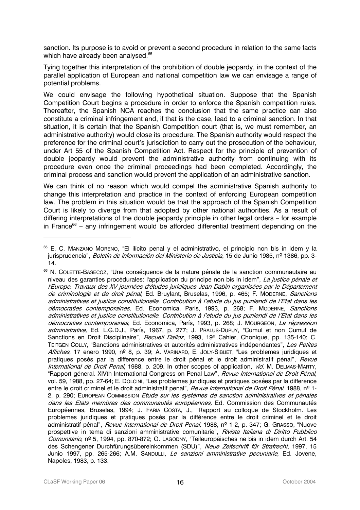sanction. Its purpose is to avoid or prevent a second procedure in relation to the same facts which have already been analysed. 65

Tying together this interpretation of the prohibition of double jeopardy, in the context of the parallel application of European and national competition law we can envisage a range of potential problems.

We could envisage the following hypothetical situation. Suppose that the Spanish Competition Court begins a procedure in order to enforce the Spanish competition rules. Thereafter, the Spanish NCA reaches the conclusion that the same practice can also constitute a criminal infringement and, if that is the case, lead to a criminal sanction. In that situation, it is certain that the Spanish Competition court (that is, we must remember, an administrative authority) would close its procedure. The Spanish authority would respect the preference for the criminal court's jurisdiction to carry out the prosecution of the behaviour, under Art 55 of the Spanish Competition Act. Respect for the principle of prevention of double jeopardy would prevent the administrative authority from continuing with its procedure even once the criminal proceedings had been completed. Accordingly, the criminal process and sanction would prevent the application of an administrative sanction.

We can think of no reason which would compel the administrative Spanish authority to change this interpretation and practice in the context of enforcing European competition law. The problem in this situation would be that the approach of the Spanish Competition Court is likely to diverge from that adopted by other national authorities. As a result of differing interpretations of the double jeopardy principle in other legal orders – for example in France<sup>66</sup> – any infringement would be afforded differential treatment depending on the

 $\ddot{ }$ 

<sup>&</sup>lt;sup>65</sup> E. C. MANZANO MORENO, "El ilícito penal y el administrativo, el principio non bis in idem y la jurisprudencia", *Boletín de información del Ministerio de Justicia*, 15 de Junio 1985, nº 1386, pp. 3-14.

l'Europe. Travaux des XV journées d'études juridiques Jean Dabin organisées par le Département démocraties contemporaines, Ed. Economica, París, 1993, p. 268; J. Moungeon, *La répression dans les Etats membres des communautés européennes,* Ed. Commission des Communautés <sup>66</sup> N. COLETTE-BASECQZ, "Une conséquence de la nature pénale de la sanction communautaire au niveau des garanties procédurales: l'application du principe non bis in idem", La justice pénale et de criminologie et de droit pénal, Ed. Bruylant, Bruselas, 1996, p. 465; F. MODERNE, Sanctions administratives et justice constitutionelle. Contribution à l'etude du jus puniendi de l'Etat dans les démocraties contemporaines, Ed. Economica, París, 1993, p. 268; F. MODERNE, Sanctions administratives et justice constitutionelle. Contribution à l'etude du jus puniendi de l'Etat dans les administrative, Ed. L.G.D.J., París, 1967, p. 277; J. PRALUS-DUPUY, "Cumul et non Cumul de Sanctions en Droit Disciplinaire", Recueil Dalloz, 1993, 19º Cahier, Chonique, pp. 135-140; C. TEITGEN COLLY, "Sanctions administratives et autorités administratives indépendantes", Les Petites Affiches, 17 enero 1990, nº 8, p. 39; A. VARINARD, E. JOLY-SIBUET, "Les problemes juridiques et pratiques posés par la difference entre le droit pénal et le droit administratif pénal", Revue International de Droit Penal, 1988, p. 209. In other scopes of application, vid. M. DELMAS-MARTY, "Rapport géneral. XIVth International Congress on Penal Law", *Revue International de Droit Pénal*, vol. 59, 1988, pp. 27-64; E. DOLCINI, "Les problemes juridiques et pratiques posées par la difference entre le droit criminel et le droit administratif penal", Revue International de Droit Pénal, 1988, nº 1-2, p. 290; EUROPEAN COMMISSION *Etude sur les systèmes de sanction administratives et pénales* Européennes, Bruselas, 1994; J. FARIA COSTA, J., "Rapport au colloque de Stockholm. Les problemes juridiques et pratiques posés par la différence entre le droit criminel et le droit administratif pénal", *Revue International de Droit Penal*, 1988, nº 1-2, p. 347; G. GRASSO, "Nuove prospettive in tema di sanzioni amministrative comunitarie", Rivista Italiana di Diritto Pubblico Comunitario, nº 5, 1994, pp. 870-872; O. LAGODNY, "Teileuropäisches ne bis in idem durch Art. 54 des Schengener Durchfürungsübereinkommen (SDU)", Neue Zeitschrift für Strafrecht, 1997, 15 Junio 1997, pp. 265-266; A.M. SANDULLI, Le sanzioni amministrative pecuniarie, Ed. Jovene, Napoles, 1983, p. 133.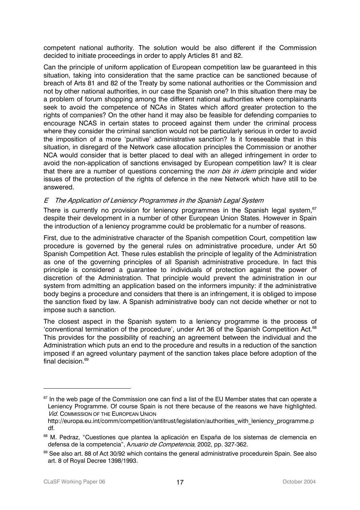competent national authority. The solution would be also different if the Commission decided to initiate proceedings in order to apply Articles 81 and 82.

Can the principle of uniform application of European competition law be guaranteed in this situation, taking into consideration that the same practice can be sanctioned because of breach of Arts 81 and 82 of the Treaty by some national authorities or the Commission and not by other national authorities, in our case the Spanish one? In this situation there may be a problem of forum shopping among the different national authorities where complainants seek to avoid the competence of NCAs in States which afford greater protection to the rights of companies? On the other hand it may also be feasible for defending companies to encourage NCAS in certain states to proceed against them under the criminal process where they consider the criminal sanction would not be particularly serious in order to avoid the imposition of a more 'punitive' administrative sanction? Is it foreseeable that in this situation, in disregard of the Network case allocation principles the Commission or another NCA would consider that is better placed to deal with an alleged infringement in order to avoid the non-application of sanctions envisaged by European competition law? It is clear that there are a number of questions concerning the *non bis in idem* principle and wider issues of the protection of the rights of defence in the new Network which have still to be answered.

#### E The Application of Leniency Programmes in the Spanish Legal System

There is currently no provision for leniency programmes in the Spanish legal system.<sup>67</sup> despite their development in a number of other European Union States. However in Spain the introduction of a leniency programme could be problematic for a number of reasons.

First, due to the administrative character of the Spanish competition Court, competition law procedure is governed by the general rules on administrative procedure, under Art 50 Spanish Competition Act. These rules establish the principle of legality of the Administration as one of the governing principles of all Spanish administrative procedure. In fact this principle is considered a guarantee to individuals of protection against the power of discretion of the Administration. That principle would prevent the administration in our system from admitting an application based on the informers impunity: if the administrative body begins a procedure and considers that there is an infringement, it is obliged to impose the sanction fixed by law. A Spanish administrative body can not decide whether or not to impose such a sanction.

The closest aspect in the Spanish system to a leniency programme is the process of 'conventional termination of the procedure', under Art 36 of the Spanish Competition Act.<sup>68</sup> This provides for the possibility of reaching an agreement between the individual and the Administration which puts an end to the procedure and results in a reduction of the sanction imposed if an agreed voluntary payment of the sanction takes place before adoption of the final decision. 69

 $67$  In the web page of the Commission one can find a list of the EU Member states that can operate a Leniency Programme. Of course Spain is not there because of the reasons we have highlighted. **Vid. COMMISSION OF THE EUROPEAN UNION** 

http://europa.eu.int/comm/competition/antitrust/legislation/authorities with leniency programme.p df.

<sup>&</sup>lt;sup>68</sup> M. Pedraz, "Cuestiones que plantea la aplicación en España de los sistemas de clemencia en defensa de la competencia", Anuario de Competencia, 2002, pp. 327-362.

<sup>&</sup>lt;sup>69</sup> See also art. 88 of Act 30/92 which contains the general administrative procedurein Spain. See also art. 8 of Royal Decree 1398/1993.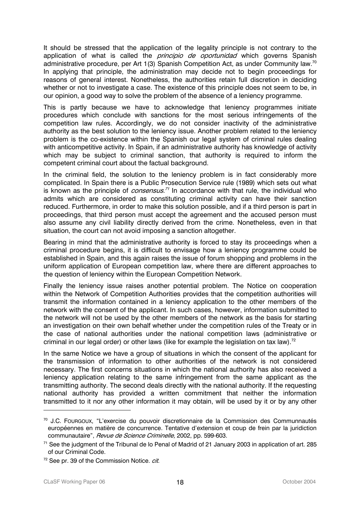It should be stressed that the application of the legality principle is not contrary to the application of what is called the *principio de oportunidad* which governs Spanish administrative procedure, per Art 1(3) Spanish Competition Act, as under Community law.<sup>70</sup> In applying that principle, the administration may decide not to begin proceedings for reasons of general interest. Nonetheless, the authorities retain full discretion in deciding whether or not to investigate a case. The existence of this principle does not seem to be, in our opinion, a good way to solve the problem of the absence of a leniency programme.

This is partly because we have to acknowledge that leniency programmes initiate procedures which conclude with sanctions for the most serious infringements of the competition law rules. Accordingly, we do not consider inactivity of the administrative authority as the best solution to the leniency issue. Another problem related to the leniency problem is the co-existence within the Spanish our legal system of criminal rules dealing with anticompetitive activity. In Spain, if an administrative authority has knowledge of activity which may be subject to criminal sanction, that authority is required to inform the competent criminal court about the factual background.

In the criminal field, the solution to the leniency problem is in fact considerably more complicated. In Spain there is a Public Prosecution Service rule (1989) which sets out what is known as the principle of *consensus.<sup>71</sup>* In accordance with that rule, the individual who admits which are considered as constituting criminal activity can have their sanction reduced. Furthermore, in order to make this solution possible, and if a third person is part in proceedings, that third person must accept the agreement and the accused person must also assume any civil liability directly derived from the crime. Nonetheless, even in that situation, the court can not avoid imposing a sanction altogether.

Bearing in mind that the administrative authority is forced to stay its proceedings when a criminal procedure begins, it is difficult to envisage how a leniency programme could be established in Spain, and this again raises the issue of forum shopping and problems in the uniform application of European competition law, where there are different approaches to the question of leniency within the European Competition Network.

Finally the leniency issue raises another potential problem. The Notice on cooperation within the Network of Competition Authorities provides that the competition authorities will transmit the information contained in a leniency application to the other members of the network with the consent of the applicant. In such cases, however, information submitted to the network will not be used by the other members of the network as the basis for starting an investigation on their own behalf whether under the competition rules of the Treaty or in the case of national authorities under the national competition laws (administrative or criminal in our legal order) or other laws (like for example the legislation on tax law).<sup>72</sup>

In the same Notice we have a group of situations in which the consent of the applicant for the transmission of information to other authorities of the network is not considered necessary. The first concerns situations in which the national authority has also received a leniency application relating to the same infringement from the same applicant as the transmitting authority. The second deals directly with the national authority. If the requesting national authority has provided a written commitment that neither the information transmitted to it nor any other information it may obtain, will be used by it or by any other

<sup>70</sup> J.C. FOURGOUX, "L'exercise du pouvoir discretionnaire de la Commission des Communnautés européennes en matière de concurrence. Tentative d'extension et coup de frein par la juridiction communautaire", Revue de Science Criminelle, 2002, pp. 599-603.

<sup>71</sup> See the judgment of the Tribunal de lo Penal of Madrid of 21 January 2003 in application of art. 285 of our Criminal Code.

<sup>&</sup>lt;sup>72</sup> See pr. 39 of the Commission Notice. *cit.*